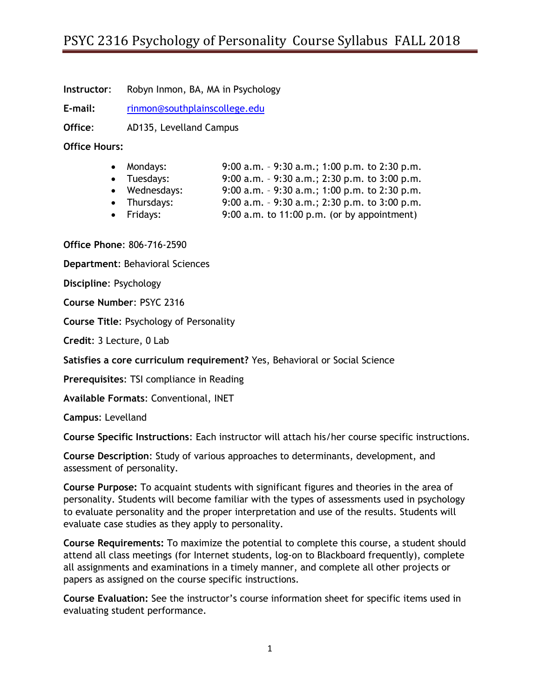# PSYC 2316 Psychology of Personality Course Syllabus FALL 2018

**Instructor**: Robyn Inmon, BA, MA in Psychology

**E-mail:** [rinmon@southplainscollege.edu](mailto:rinmon@southplainscollege.edu)

**Office**: AD135, Levelland Campus

**Office Hours:**

- Mondays: 9:00 a.m. 9:30 a.m.; 1:00 p.m. to 2:30 p.m.
- Tuesdays: 9:00 a.m. 9:30 a.m.; 2:30 p.m. to 3:00 p.m.
- Wednesdays: 9:00 a.m. 9:30 a.m.; 1:00 p.m. to 2:30 p.m.
- Thursdays: 9:00 a.m. 9:30 a.m.; 2:30 p.m. to 3:00 p.m.
- Fridays: 9:00 a.m. to 11:00 p.m. (or by appointment)

**Office Phone**: 806-716-2590

**Department**: Behavioral Sciences

**Discipline**: Psychology

**Course Number**: PSYC 2316

**Course Title**: Psychology of Personality

**Credit**: 3 Lecture, 0 Lab

**Satisfies a core curriculum requirement?** Yes, Behavioral or Social Science

**Prerequisites**: TSI compliance in Reading

**Available Formats**: Conventional, INET

**Campus**: Levelland

**Course Specific Instructions**: Each instructor will attach his/her course specific instructions.

**Course Description**: Study of various approaches to determinants, development, and assessment of personality.

**Course Purpose:** To acquaint students with significant figures and theories in the area of personality. Students will become familiar with the types of assessments used in psychology to evaluate personality and the proper interpretation and use of the results. Students will evaluate case studies as they apply to personality.

**Course Requirements:** To maximize the potential to complete this course, a student should attend all class meetings (for Internet students, log-on to Blackboard frequently), complete all assignments and examinations in a timely manner, and complete all other projects or papers as assigned on the course specific instructions.

**Course Evaluation:** See the instructor's course information sheet for specific items used in evaluating student performance.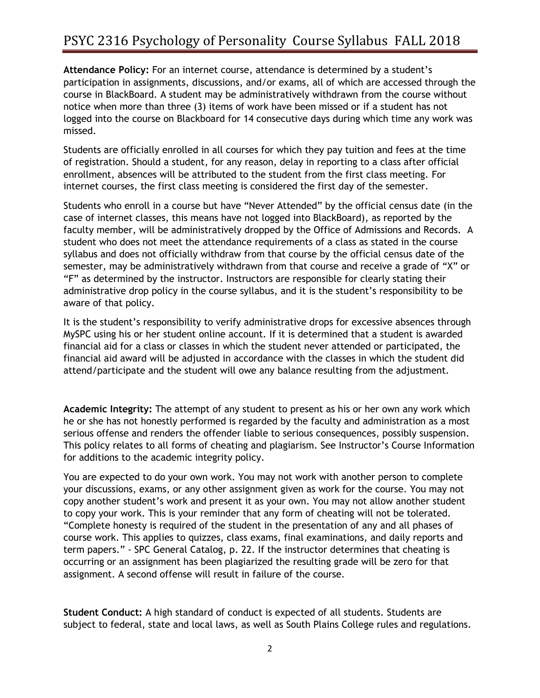# PSYC 2316 Psychology of Personality Course Syllabus FALL 2018

**Attendance Policy:** For an internet course, attendance is determined by a student's participation in assignments, discussions, and/or exams, all of which are accessed through the course in BlackBoard. A student may be administratively withdrawn from the course without notice when more than three (3) items of work have been missed or if a student has not logged into the course on Blackboard for 14 consecutive days during which time any work was missed.

Students are officially enrolled in all courses for which they pay tuition and fees at the time of registration. Should a student, for any reason, delay in reporting to a class after official enrollment, absences will be attributed to the student from the first class meeting. For internet courses, the first class meeting is considered the first day of the semester.

Students who enroll in a course but have "Never Attended" by the official census date (in the case of internet classes, this means have not logged into BlackBoard), as reported by the faculty member, will be administratively dropped by the Office of Admissions and Records. A student who does not meet the attendance requirements of a class as stated in the course syllabus and does not officially withdraw from that course by the official census date of the semester, may be administratively withdrawn from that course and receive a grade of "X" or "F" as determined by the instructor. Instructors are responsible for clearly stating their administrative drop policy in the course syllabus, and it is the student's responsibility to be aware of that policy.

It is the student's responsibility to verify administrative drops for excessive absences through MySPC using his or her student online account. If it is determined that a student is awarded financial aid for a class or classes in which the student never attended or participated, the financial aid award will be adjusted in accordance with the classes in which the student did attend/participate and the student will owe any balance resulting from the adjustment.

**Academic Integrity:** The attempt of any student to present as his or her own any work which he or she has not honestly performed is regarded by the faculty and administration as a most serious offense and renders the offender liable to serious consequences, possibly suspension. This policy relates to all forms of cheating and plagiarism. See Instructor's Course Information for additions to the academic integrity policy.

You are expected to do your own work. You may not work with another person to complete your discussions, exams, or any other assignment given as work for the course. You may not copy another student's work and present it as your own. You may not allow another student to copy your work. This is your reminder that any form of cheating will not be tolerated. "Complete honesty is required of the student in the presentation of any and all phases of course work. This applies to quizzes, class exams, final examinations, and daily reports and term papers." - SPC General Catalog, p. 22. If the instructor determines that cheating is occurring or an assignment has been plagiarized the resulting grade will be zero for that assignment. A second offense will result in failure of the course.

**Student Conduct:** A high standard of conduct is expected of all students. Students are subject to federal, state and local laws, as well as South Plains College rules and regulations.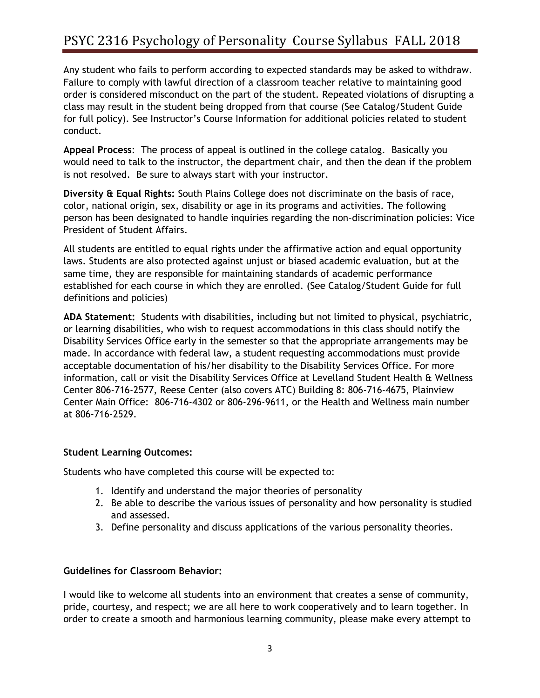# PSYC 2316 Psychology of Personality Course Syllabus FALL 2018

Any student who fails to perform according to expected standards may be asked to withdraw. Failure to comply with lawful direction of a classroom teacher relative to maintaining good order is considered misconduct on the part of the student. Repeated violations of disrupting a class may result in the student being dropped from that course (See Catalog/Student Guide for full policy). See Instructor's Course Information for additional policies related to student conduct.

**Appeal Process**: The process of appeal is outlined in the college catalog. Basically you would need to talk to the instructor, the department chair, and then the dean if the problem is not resolved. Be sure to always start with your instructor.

**Diversity & Equal Rights:** South Plains College does not discriminate on the basis of race, color, national origin, sex, disability or age in its programs and activities. The following person has been designated to handle inquiries regarding the non-discrimination policies: Vice President of Student Affairs.

All students are entitled to equal rights under the affirmative action and equal opportunity laws. Students are also protected against unjust or biased academic evaluation, but at the same time, they are responsible for maintaining standards of academic performance established for each course in which they are enrolled. (See Catalog/Student Guide for full definitions and policies)

**ADA Statement:** Students with disabilities, including but not limited to physical, psychiatric, or learning disabilities, who wish to request accommodations in this class should notify the Disability Services Office early in the semester so that the appropriate arrangements may be made. In accordance with federal law, a student requesting accommodations must provide acceptable documentation of his/her disability to the Disability Services Office. For more information, call or visit the Disability Services Office at Levelland Student Health & Wellness Center 806-716-2577, Reese Center (also covers ATC) Building 8: 806-716-4675, Plainview Center Main Office: 806-716-4302 or 806-296-9611, or the Health and Wellness main number at 806-716-2529.

## **Student Learning Outcomes:**

Students who have completed this course will be expected to:

- 1. Identify and understand the major theories of personality
- 2. Be able to describe the various issues of personality and how personality is studied and assessed.
- 3. Define personality and discuss applications of the various personality theories.

#### **Guidelines for Classroom Behavior:**

I would like to welcome all students into an environment that creates a sense of community, pride, courtesy, and respect; we are all here to work cooperatively and to learn together. In order to create a smooth and harmonious learning community, please make every attempt to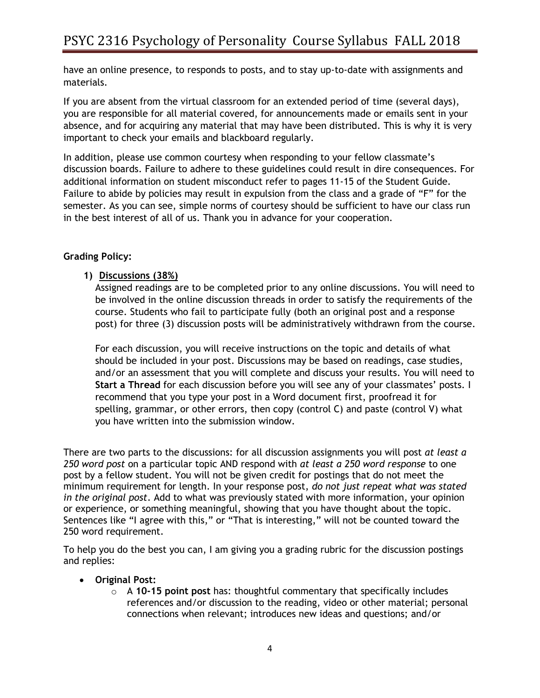have an online presence, to responds to posts, and to stay up-to-date with assignments and materials.

If you are absent from the virtual classroom for an extended period of time (several days), you are responsible for all material covered, for announcements made or emails sent in your absence, and for acquiring any material that may have been distributed. This is why it is very important to check your emails and blackboard regularly.

In addition, please use common courtesy when responding to your fellow classmate's discussion boards. Failure to adhere to these guidelines could result in dire consequences. For additional information on student misconduct refer to pages 11-15 of the Student Guide. Failure to abide by policies may result in expulsion from the class and a grade of "F" for the semester. As you can see, simple norms of courtesy should be sufficient to have our class run in the best interest of all of us. Thank you in advance for your cooperation.

## **Grading Policy:**

### **1) Discussions (38%)**

Assigned readings are to be completed prior to any online discussions. You will need to be involved in the online discussion threads in order to satisfy the requirements of the course. Students who fail to participate fully (both an original post and a response post) for three (3) discussion posts will be administratively withdrawn from the course.

For each discussion, you will receive instructions on the topic and details of what should be included in your post. Discussions may be based on readings, case studies, and/or an assessment that you will complete and discuss your results. You will need to **Start a Thread** for each discussion before you will see any of your classmates' posts. I recommend that you type your post in a Word document first, proofread it for spelling, grammar, or other errors, then copy (control C) and paste (control V) what you have written into the submission window.

There are two parts to the discussions: for all discussion assignments you will post *at least a 250 word post* on a particular topic AND respond with *at least a 250 word response* to one post by a fellow student. You will not be given credit for postings that do not meet the minimum requirement for length. In your response post, *do not just repeat what was stated in the original post*. Add to what was previously stated with more information, your opinion or experience, or something meaningful, showing that you have thought about the topic. Sentences like "I agree with this," or "That is interesting," will not be counted toward the 250 word requirement.

To help you do the best you can, I am giving you a grading rubric for the discussion postings and replies:

- **Original Post:**
	- o A **10-15 point post** has: thoughtful commentary that specifically includes references and/or discussion to the reading, video or other material; personal connections when relevant; introduces new ideas and questions; and/or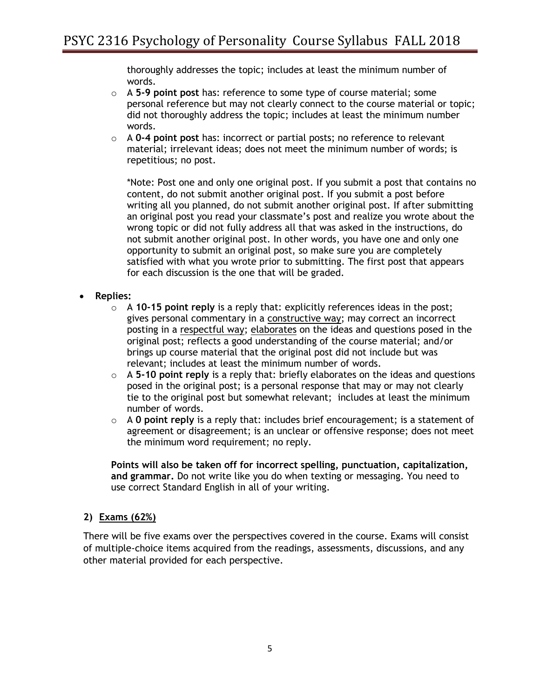thoroughly addresses the topic; includes at least the minimum number of words.

- o A **5-9 point post** has: reference to some type of course material; some personal reference but may not clearly connect to the course material or topic; did not thoroughly address the topic; includes at least the minimum number words.
- o A **0-4 point post** has: incorrect or partial posts; no reference to relevant material; irrelevant ideas; does not meet the minimum number of words; is repetitious; no post.

\*Note: Post one and only one original post. If you submit a post that contains no content, do not submit another original post. If you submit a post before writing all you planned, do not submit another original post. If after submitting an original post you read your classmate's post and realize you wrote about the wrong topic or did not fully address all that was asked in the instructions, do not submit another original post. In other words, you have one and only one opportunity to submit an original post, so make sure you are completely satisfied with what you wrote prior to submitting. The first post that appears for each discussion is the one that will be graded.

- **Replies:**
	- o A **10-15 point reply** is a reply that: explicitly references ideas in the post; gives personal commentary in a constructive way; may correct an incorrect posting in a respectful way; elaborates on the ideas and questions posed in the original post; reflects a good understanding of the course material; and/or brings up course material that the original post did not include but was relevant; includes at least the minimum number of words.
	- o A **5-10 point reply** is a reply that: briefly elaborates on the ideas and questions posed in the original post; is a personal response that may or may not clearly tie to the original post but somewhat relevant; includes at least the minimum number of words.
	- o A **0 point reply** is a reply that: includes brief encouragement; is a statement of agreement or disagreement; is an unclear or offensive response; does not meet the minimum word requirement; no reply.

**Points will also be taken off for incorrect spelling, punctuation, capitalization, and grammar.** Do not write like you do when texting or messaging. You need to use correct Standard English in all of your writing.

## **2) Exams (62%)**

There will be five exams over the perspectives covered in the course. Exams will consist of multiple-choice items acquired from the readings, assessments, discussions, and any other material provided for each perspective.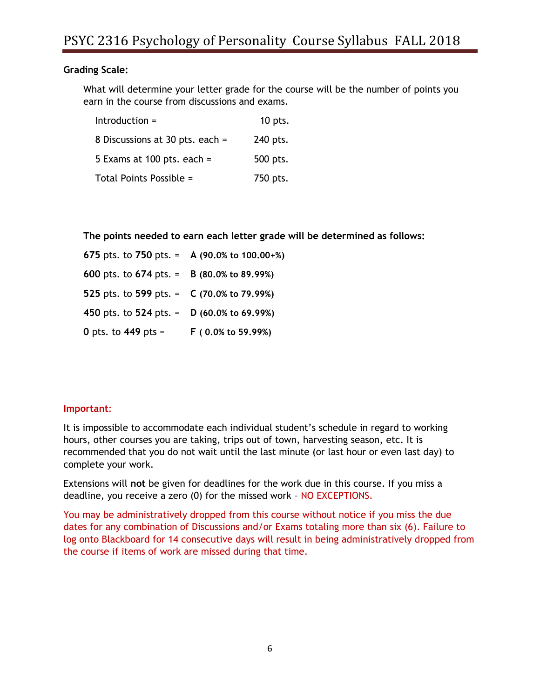### **Grading Scale:**

What will determine your letter grade for the course will be the number of points you earn in the course from discussions and exams.

| $Introduction =$                | 10 pts.  |
|---------------------------------|----------|
| 8 Discussions at 30 pts. each = | 240 pts. |
| 5 Exams at 100 pts. each $=$    | 500 pts. |
| Total Points Possible =         | 750 pts. |

**The points needed to earn each letter grade will be determined as follows:**

| 675 pts. to 750 pts. = A (90.0% to 100.00+%)           |                                |
|--------------------------------------------------------|--------------------------------|
| 600 pts. to 674 pts. = $\,$ B (80.0% to 89.99%)        |                                |
| 525 pts. to 599 pts. $=$ C (70.0% to 79.99%)           |                                |
| 450 pts. to 524 pts. = $D(60.0\% \text{ to } 69.99\%)$ |                                |
| 0 pts. to 449 pts =                                    | $F(0.0\% \text{ to } 59.99\%)$ |

#### **Important**:

It is impossible to accommodate each individual student's schedule in regard to working hours, other courses you are taking, trips out of town, harvesting season, etc. It is recommended that you do not wait until the last minute (or last hour or even last day) to complete your work.

Extensions will **not** be given for deadlines for the work due in this course. If you miss a deadline, you receive a zero (0) for the missed work – NO EXCEPTIONS.

You may be administratively dropped from this course without notice if you miss the due dates for any combination of Discussions and/or Exams totaling more than six (6). Failure to log onto Blackboard for 14 consecutive days will result in being administratively dropped from the course if items of work are missed during that time.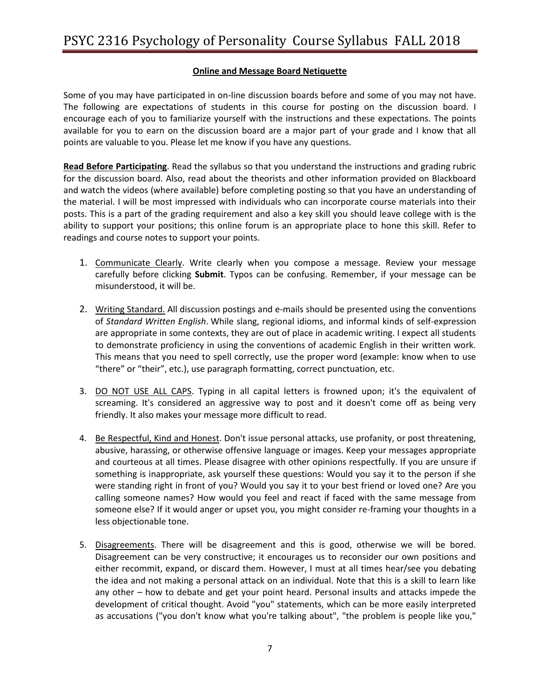### **Online and Message Board Netiquette**

Some of you may have participated in on-line discussion boards before and some of you may not have. The following are expectations of students in this course for posting on the discussion board. I encourage each of you to familiarize yourself with the instructions and these expectations. The points available for you to earn on the discussion board are a major part of your grade and I know that all points are valuable to you. Please let me know if you have any questions.

**Read Before Participating**. Read the syllabus so that you understand the instructions and grading rubric for the discussion board. Also, read about the theorists and other information provided on Blackboard and watch the videos (where available) before completing posting so that you have an understanding of the material. I will be most impressed with individuals who can incorporate course materials into their posts. This is a part of the grading requirement and also a key skill you should leave college with is the ability to support your positions; this online forum is an appropriate place to hone this skill. Refer to readings and course notes to support your points.

- 1. Communicate Clearly. Write clearly when you compose a message. Review your message carefully before clicking **Submit**. Typos can be confusing. Remember, if your message can be misunderstood, it will be.
- 2. Writing Standard. All discussion postings and e-mails should be presented using the conventions of *Standard Written English*. While slang, regional idioms, and informal kinds of self-expression are appropriate in some contexts, they are out of place in academic writing. I expect all students to demonstrate proficiency in using the conventions of academic English in their written work. This means that you need to spell correctly, use the proper word (example: know when to use "there" or "their", etc.), use paragraph formatting, correct punctuation, etc.
- 3. DO NOT USE ALL CAPS. Typing in all capital letters is frowned upon; it's the equivalent of screaming. It's considered an aggressive way to post and it doesn't come off as being very friendly. It also makes your message more difficult to read.
- 4. Be Respectful, Kind and Honest. Don't issue personal attacks, use profanity, or post threatening, abusive, harassing, or otherwise offensive language or images. Keep your messages appropriate and courteous at all times. Please disagree with other opinions respectfully. If you are unsure if something is inappropriate, ask yourself these questions: Would you say it to the person if she were standing right in front of you? Would you say it to your best friend or loved one? Are you calling someone names? How would you feel and react if faced with the same message from someone else? If it would anger or upset you, you might consider re-framing your thoughts in a less objectionable tone.
- 5. Disagreements. There will be disagreement and this is good, otherwise we will be bored. Disagreement can be very constructive; it encourages us to reconsider our own positions and either recommit, expand, or discard them. However, I must at all times hear/see you debating the idea and not making a personal attack on an individual. Note that this is a skill to learn like any other – how to debate and get your point heard. Personal insults and attacks impede the development of critical thought. Avoid "you" statements, which can be more easily interpreted as accusations ("you don't know what you're talking about", "the problem is people like you,"